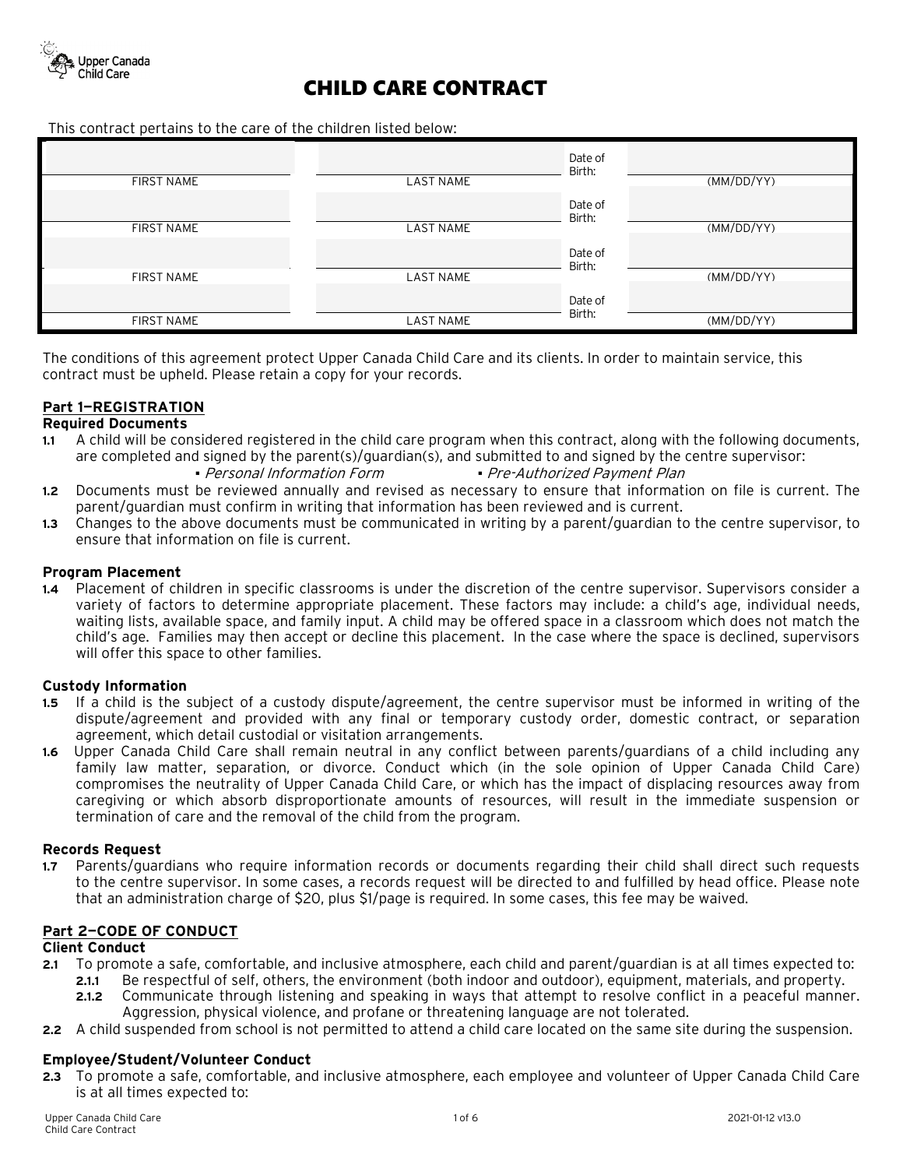

This contract pertains to the care of the children listed below:

| <b>FIRST NAME</b> | <b>LAST NAME</b> | Date of<br>Birth: | (MM/DD/YY) |
|-------------------|------------------|-------------------|------------|
|                   |                  | Date of<br>Birth: |            |
| <b>FIRST NAME</b> | <b>LAST NAME</b> |                   | (MM/DD/YY) |
|                   |                  | Date of<br>Birth: |            |
| <b>FIRST NAME</b> | <b>LAST NAME</b> |                   | (MM/DD/YY) |
|                   |                  | Date of           |            |
| <b>FIRST NAME</b> | LAST NAME        | Birth:            | (MM/DD/YY) |

The conditions of this agreement protect Upper Canada Child Care and its clients. In order to maintain service, this contract must be upheld. Please retain a copy for your records.

## **Part 1—REGISTRATION**

## **Required Documents**

- **1.1** A child will be considered registered in the child care program when this contract, along with the following documents, are completed and signed by the parent(s)/guardian(s), and submitted to and signed by the centre supervisor:
	- *▪* Personal Information Form *▪* Pre-Authorized Payment Plan
- **1.2** Documents must be reviewed annually and revised as necessary to ensure that information on file is current. The parent/guardian must confirm in writing that information has been reviewed and is current.
- **1.3** Changes to the above documents must be communicated in writing by a parent/guardian to the centre supervisor, to ensure that information on file is current.

## **Program Placement**

**1.4** Placement of children in specific classrooms is under the discretion of the centre supervisor. Supervisors consider a variety of factors to determine appropriate placement. These factors may include: a child's age, individual needs, waiting lists, available space, and family input. A child may be offered space in a classroom which does not match the child's age. Families may then accept or decline this placement. In the case where the space is declined, supervisors will offer this space to other families.

## **Custody Information**

- **1.5** If a child is the subject of a custody dispute/agreement, the centre supervisor must be informed in writing of the dispute/agreement and provided with any final or temporary custody order, domestic contract, or separation agreement, which detail custodial or visitation arrangements.
- **1.6** Upper Canada Child Care shall remain neutral in any conflict between parents/guardians of a child including any family law matter, separation, or divorce. Conduct which (in the sole opinion of Upper Canada Child Care) compromises the neutrality of Upper Canada Child Care, or which has the impact of displacing resources away from caregiving or which absorb disproportionate amounts of resources, will result in the immediate suspension or termination of care and the removal of the child from the program.

## **Records Request**

**1.7** Parents/guardians who require information records or documents regarding their child shall direct such requests to the centre supervisor. In some cases, a records request will be directed to and fulfilled by head office. Please note that an administration charge of \$20, plus \$1/page is required. In some cases, this fee may be waived.

## **Part 2—CODE OF CONDUCT**

## **Client Conduct**

- **2.1** To promote a safe, comfortable, and inclusive atmosphere, each child and parent/guardian is at all times expected to:
	- **2.1.1** Be respectful of self, others, the environment (both indoor and outdoor), equipment, materials, and property. **2.1.2** Communicate through listening and speaking in ways that attempt to resolve conflict in a peaceful manner.
	- Aggression, physical violence, and profane or threatening language are not tolerated.
- **2.2** A child suspended from school is not permitted to attend a child care located on the same site during the suspension.

## **Employee/Student/Volunteer Conduct**

**2.3** To promote a safe, comfortable, and inclusive atmosphere, each employee and volunteer of Upper Canada Child Care is at all times expected to: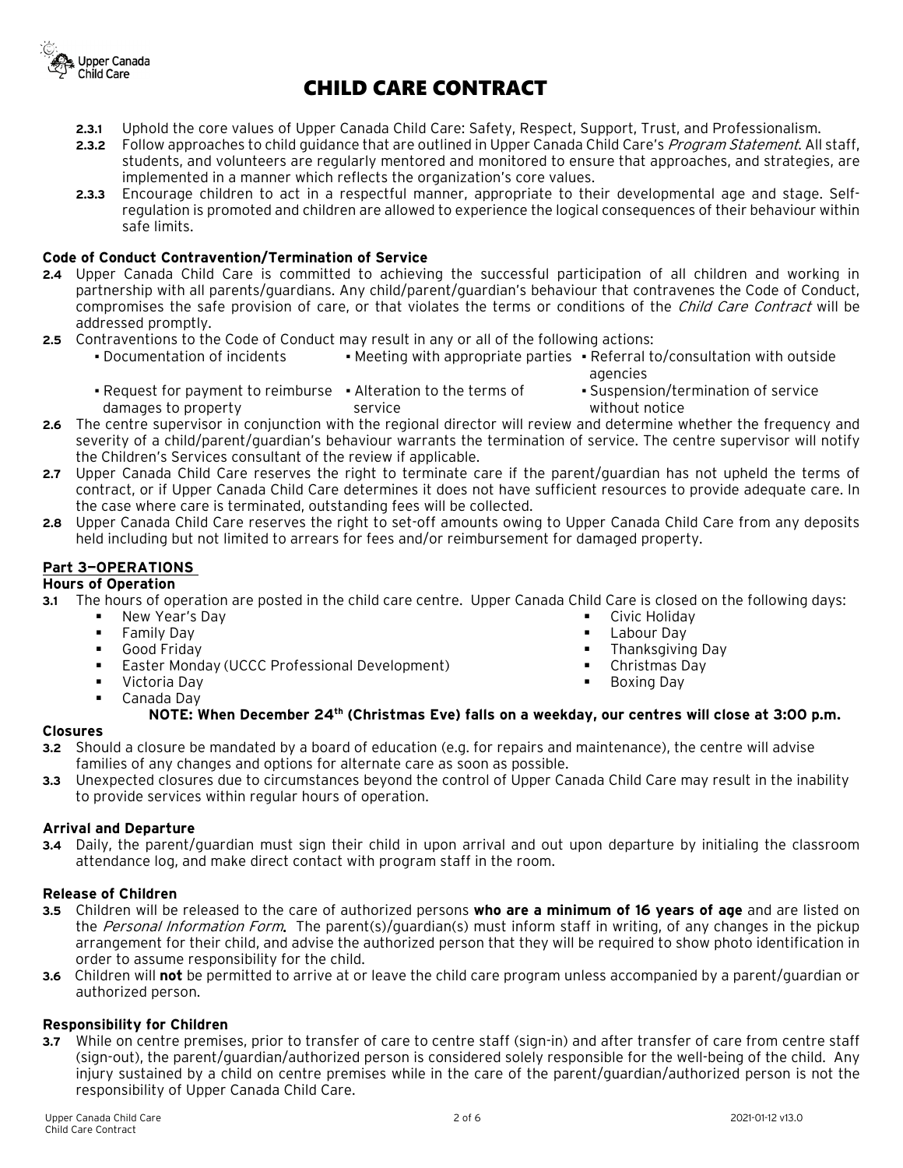

- **2.3.1** Uphold the core values of Upper Canada Child Care: Safety, Respect, Support, Trust, and Professionalism.
- **2.3.2** Follow approaches to child guidance that are outlined in Upper Canada Child Care's Program Statement. All staff, students, and volunteers are regularly mentored and monitored to ensure that approaches, and strategies, are implemented in a manner which reflects the organization's core values.
- **2.3.3** Encourage children to act in a respectful manner, appropriate to their developmental age and stage. Selfregulation is promoted and children are allowed to experience the logical consequences of their behaviour within safe limits.

## **Code of Conduct Contravention/Termination of Service**

- **2.4** Upper Canada Child Care is committed to achieving the successful participation of all children and working in partnership with all parents/guardians. Any child/parent/guardian's behaviour that contravenes the Code of Conduct, compromises the safe provision of care, or that violates the terms or conditions of the *Child Care Contract* will be addressed promptly.
- **2.5** Contraventions to the Code of Conduct may result in any or all of the following actions:
	- Documentation of incidents Meeting with appropriate parties Referral to/consultation with outside agencies
		- Request for payment to reimburse Alteration to the terms of damages to property service
- Suspension/termination of service without notice
- **2.6** The centre supervisor in conjunction with the regional director will review and determine whether the frequency and severity of a child/parent/guardian's behaviour warrants the termination of service. The centre supervisor will notify the Children's Services consultant of the review if applicable.
- **2.7** Upper Canada Child Care reserves the right to terminate care if the parent/guardian has not upheld the terms of contract, or if Upper Canada Child Care determines it does not have sufficient resources to provide adequate care. In the case where care is terminated, outstanding fees will be collected.
- **2.8** Upper Canada Child Care reserves the right to set-off amounts owing to Upper Canada Child Care from any deposits held including but not limited to arrears for fees and/or reimbursement for damaged property.

## **Part 3—OPERATIONS**

## **Hours of Operation**

- **3.1** The hours of operation are posted in the child care centre. Upper Canada Child Care is closed on the following days:
	- New Year's Day **Family Day**  Good Friday **Easter Monday (UCCC Professional Development) •** Victoria Dav **Civic Holiday Labour Day Thanksgiving Day**  Christmas Day Boxing Day
		- Canada Day

# **NOTE: When December 24th (Christmas Eve) falls on a weekday, our centres will close at 3:00 p.m.**

## **Closures**

- **3.2** Should a closure be mandated by a board of education (e.g. for repairs and maintenance), the centre will advise families of any changes and options for alternate care as soon as possible.
- **3.3** Unexpected closures due to circumstances beyond the control of Upper Canada Child Care may result in the inability to provide services within regular hours of operation.

## **Arrival and Departure**

**3.4** Daily, the parent/guardian must sign their child in upon arrival and out upon departure by initialing the classroom attendance log, and make direct contact with program staff in the room.

#### **Release of Children**

- **3.5** Children will be released to the care of authorized persons **who are a minimum of 16 years of age** and are listed on the *Personal Information Form*. The parent(s)/quardian(s) must inform staff in writing, of any changes in the pickup arrangement for their child, and advise the authorized person that they will be required to show photo identification in order to assume responsibility for the child.
- **3.6** Children will **not** be permitted to arrive at or leave the child care program unless accompanied by a parent/guardian or authorized person.

## **Responsibility for Children**

**3.7** While on centre premises, prior to transfer of care to centre staff (sign-in) and after transfer of care from centre staff (sign-out), the parent/guardian/authorized person is considered solely responsible for the well-being of the child. Any injury sustained by a child on centre premises while in the care of the parent/guardian/authorized person is not the responsibility of Upper Canada Child Care.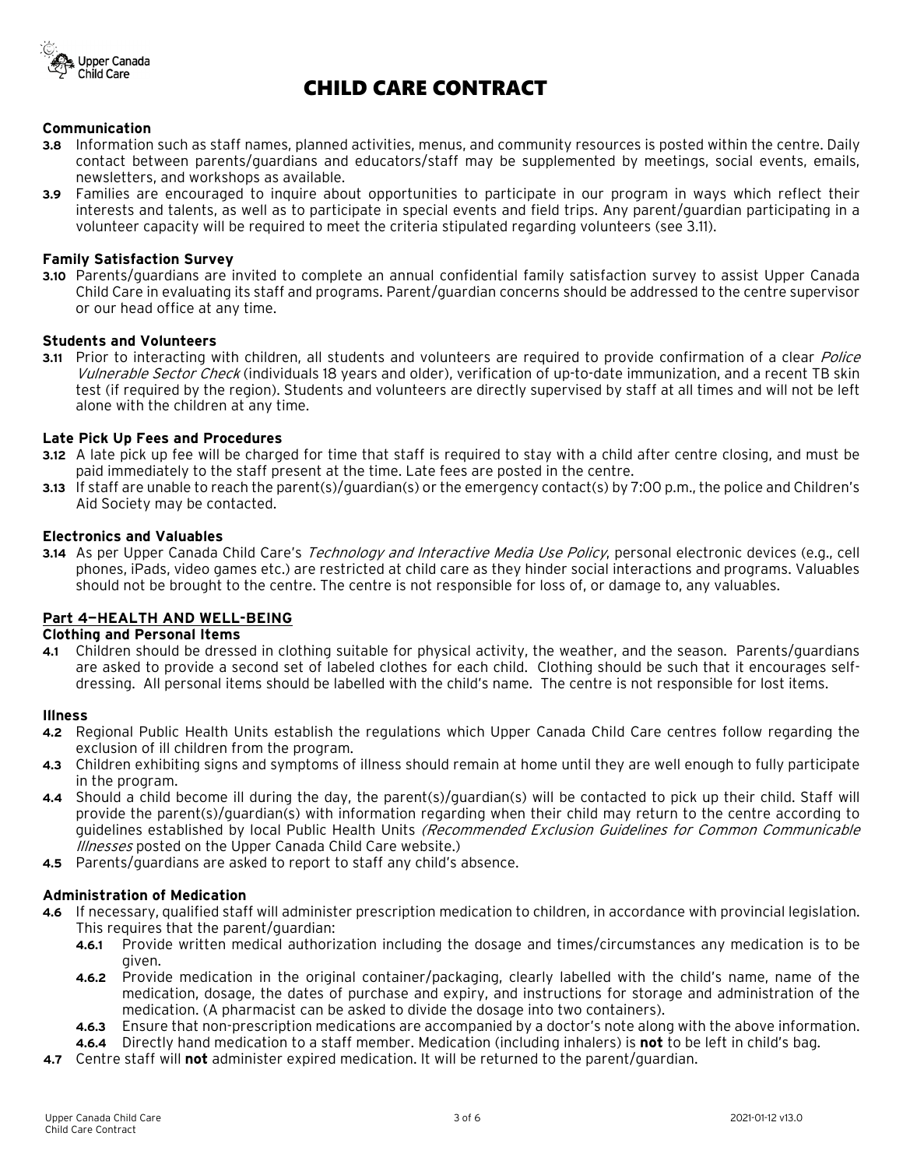

#### **Communication**

- **3.8** Information such as staff names, planned activities, menus, and community resources is posted within the centre. Daily contact between parents/guardians and educators/staff may be supplemented by meetings, social events, emails, newsletters, and workshops as available.
- **3.9** Families are encouraged to inquire about opportunities to participate in our program in ways which reflect their interests and talents, as well as to participate in special events and field trips. Any parent/guardian participating in a volunteer capacity will be required to meet the criteria stipulated regarding volunteers (see 3.11).

#### **Family Satisfaction Survey**

**3.10** Parents/guardians are invited to complete an annual confidential family satisfaction survey to assist Upper Canada Child Care in evaluating its staff and programs. Parent/guardian concerns should be addressed to the centre supervisor or our head office at any time.

## **Students and Volunteers**

**3.11** Prior to interacting with children, all students and volunteers are required to provide confirmation of a clear *Police* Vulnerable Sector Check (individuals 18 years and older), verification of up-to-date immunization, and a recent TB skin test (if required by the region). Students and volunteers are directly supervised by staff at all times and will not be left alone with the children at any time.

#### **Late Pick Up Fees and Procedures**

- **3.12** A late pick up fee will be charged for time that staff is required to stay with a child after centre closing, and must be paid immediately to the staff present at the time. Late fees are posted in the centre.
- **3.13** If staff are unable to reach the parent(s)/guardian(s) or the emergency contact(s) by 7:00 p.m., the police and Children's Aid Society may be contacted.

#### **Electronics and Valuables**

**3.14** As per Upper Canada Child Care's Technology and Interactive Media Use Policy, personal electronic devices (e.g., cell phones, iPads, video games etc.) are restricted at child care as they hinder social interactions and programs. Valuables should not be brought to the centre. The centre is not responsible for loss of, or damage to, any valuables.

## **Part 4—HEALTH AND WELL-BEING**

#### **Clothing and Personal Items**

**4.1** Children should be dressed in clothing suitable for physical activity, the weather, and the season. Parents/guardians are asked to provide a second set of labeled clothes for each child. Clothing should be such that it encourages selfdressing. All personal items should be labelled with the child's name. The centre is not responsible for lost items.

#### **Illness**

- **4.2** Regional Public Health Units establish the regulations which Upper Canada Child Care centres follow regarding the exclusion of ill children from the program.
- **4.3** Children exhibiting signs and symptoms of illness should remain at home until they are well enough to fully participate in the program.
- **4.4** Should a child become ill during the day, the parent(s)/guardian(s) will be contacted to pick up their child. Staff will provide the parent(s)/guardian(s) with information regarding when their child may return to the centre according to guidelines established by local Public Health Units (Recommended Exclusion Guidelines for Common Communicable Illnesses posted on the Upper Canada Child Care website.)
- **4.5** Parents/guardians are asked to report to staff any child's absence.

#### **Administration of Medication**

- **4.6** If necessary, qualified staff will administer prescription medication to children, in accordance with provincial legislation. This requires that the parent/guardian:
	- **4.6.1** Provide written medical authorization including the dosage and times/circumstances any medication is to be given.
	- **4.6.2** Provide medication in the original container/packaging, clearly labelled with the child's name, name of the medication, dosage, the dates of purchase and expiry, and instructions for storage and administration of the medication. (A pharmacist can be asked to divide the dosage into two containers).
	- **4.6.3** Ensure that non-prescription medications are accompanied by a doctor's note along with the above information.
	- **4.6.4** Directly hand medication to a staff member. Medication (including inhalers) is **not** to be left in child's bag.
- **4.7** Centre staff will **not** administer expired medication. It will be returned to the parent/guardian.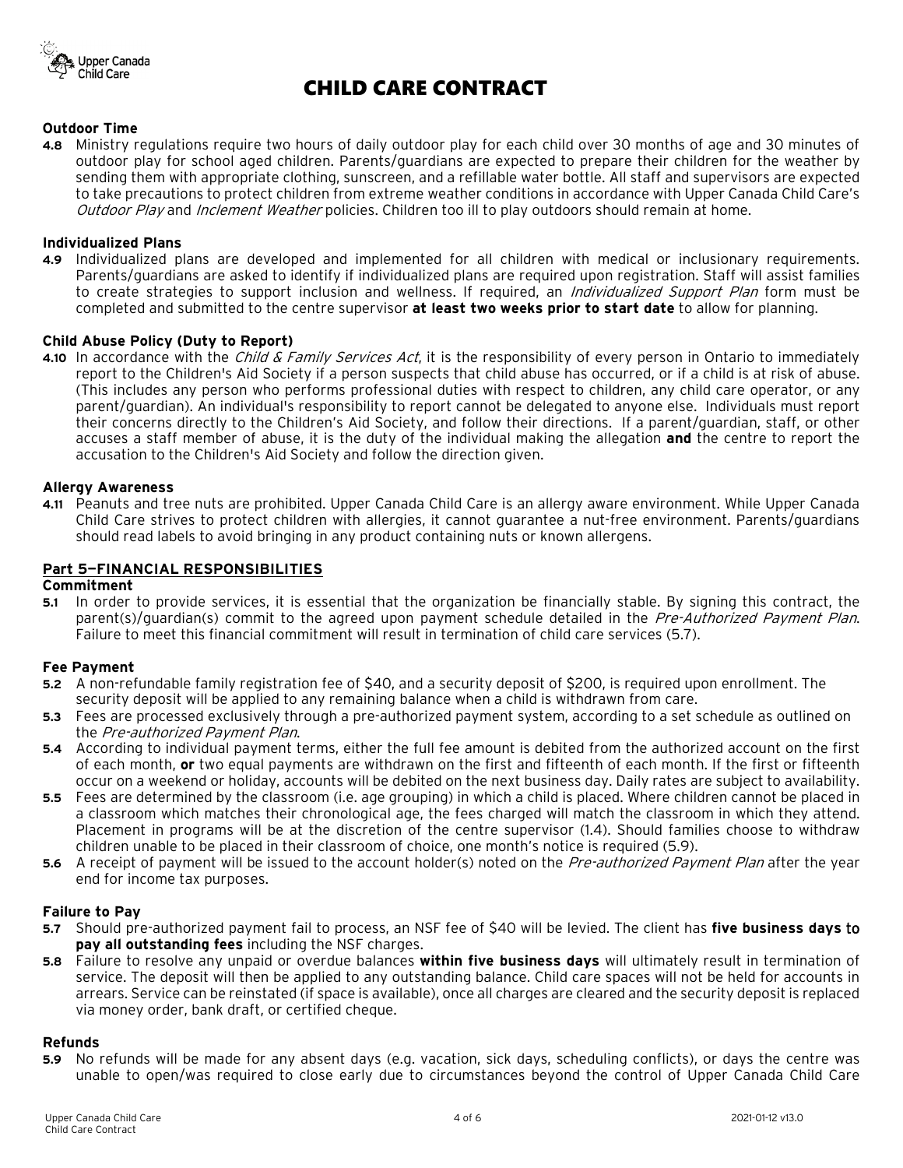

### **Outdoor Time**

**4.8** Ministry regulations require two hours of daily outdoor play for each child over 30 months of age and 30 minutes of outdoor play for school aged children. Parents/guardians are expected to prepare their children for the weather by sending them with appropriate clothing, sunscreen, and a refillable water bottle. All staff and supervisors are expected to take precautions to protect children from extreme weather conditions in accordance with Upper Canada Child Care's Outdoor Play and Inclement Weather policies. Children too ill to play outdoors should remain at home.

#### **Individualized Plans**

**4.9** Individualized plans are developed and implemented for all children with medical or inclusionary requirements. Parents/guardians are asked to identify if individualized plans are required upon registration. Staff will assist families to create strategies to support inclusion and wellness. If required, an *Individualized Support Plan* form must be completed and submitted to the centre supervisor **at least two weeks prior to start date** to allow for planning.

#### **Child Abuse Policy (Duty to Report)**

**4.10** In accordance with the *Child & Family Services Act*, it is the responsibility of every person in Ontario to immediately report to the Children's Aid Society if a person suspects that child abuse has occurred, or if a child is at risk of abuse. (This includes any person who performs professional duties with respect to children, any child care operator, or any parent/guardian). An individual's responsibility to report cannot be delegated to anyone else. Individuals must report their concerns directly to the Children's Aid Society, and follow their directions. If a parent/guardian, staff, or other accuses a staff member of abuse, it is the duty of the individual making the allegation **and** the centre to report the accusation to the Children's Aid Society and follow the direction given.

#### **Allergy Awareness**

**4.11** Peanuts and tree nuts are prohibited. Upper Canada Child Care is an allergy aware environment. While Upper Canada Child Care strives to protect children with allergies, it cannot guarantee a nut-free environment. Parents/guardians should read labels to avoid bringing in any product containing nuts or known allergens.

#### **Part 5—FINANCIAL RESPONSIBILITIES**

### **Commitment**

**5.1** In order to provide services, it is essential that the organization be financially stable. By signing this contract, the parent(s)/guardian(s) commit to the agreed upon payment schedule detailed in the Pre-Authorized Payment Plan. Failure to meet this financial commitment will result in termination of child care services (5.7).

#### **Fee Payment**

- **5.2** A non-refundable family registration fee of \$40, and a security deposit of \$200, is required upon enrollment. The security deposit will be applied to any remaining balance when a child is withdrawn from care.
- **5.3** Fees are processed exclusively through a pre-authorized payment system, according to a set schedule as outlined on the Pre-authorized Payment Plan.
- **5.4** According to individual payment terms, either the full fee amount is debited from the authorized account on the first of each month, **or** two equal payments are withdrawn on the first and fifteenth of each month. If the first or fifteenth occur on a weekend or holiday, accounts will be debited on the next business day. Daily rates are subject to availability.
- **5.5** Fees are determined by the classroom (i.e. age grouping) in which a child is placed. Where children cannot be placed in a classroom which matches their chronological age, the fees charged will match the classroom in which they attend. Placement in programs will be at the discretion of the centre supervisor (1.4). Should families choose to withdraw children unable to be placed in their classroom of choice, one month's notice is required (5.9).
- **5.6** A receipt of payment will be issued to the account holder(s) noted on the *Pre-authorized Payment Plan* after the year end for income tax purposes.

#### **Failure to Pay**

- **5.7** Should pre-authorized payment fail to process, an NSF fee of \$40 will be levied. The client has **five business days** to **pay all outstanding fees** including the NSF charges.
- **5.8** Failure to resolve any unpaid or overdue balances **within five business days** will ultimately result in termination of service. The deposit will then be applied to any outstanding balance. Child care spaces will not be held for accounts in arrears. Service can be reinstated (if space is available), once all charges are cleared and the security deposit is replaced via money order, bank draft, or certified cheque.

#### **Refunds**

**5.9** No refunds will be made for any absent days (e.g. vacation, sick days, scheduling conflicts), or days the centre was unable to open/was required to close early due to circumstances beyond the control of Upper Canada Child Care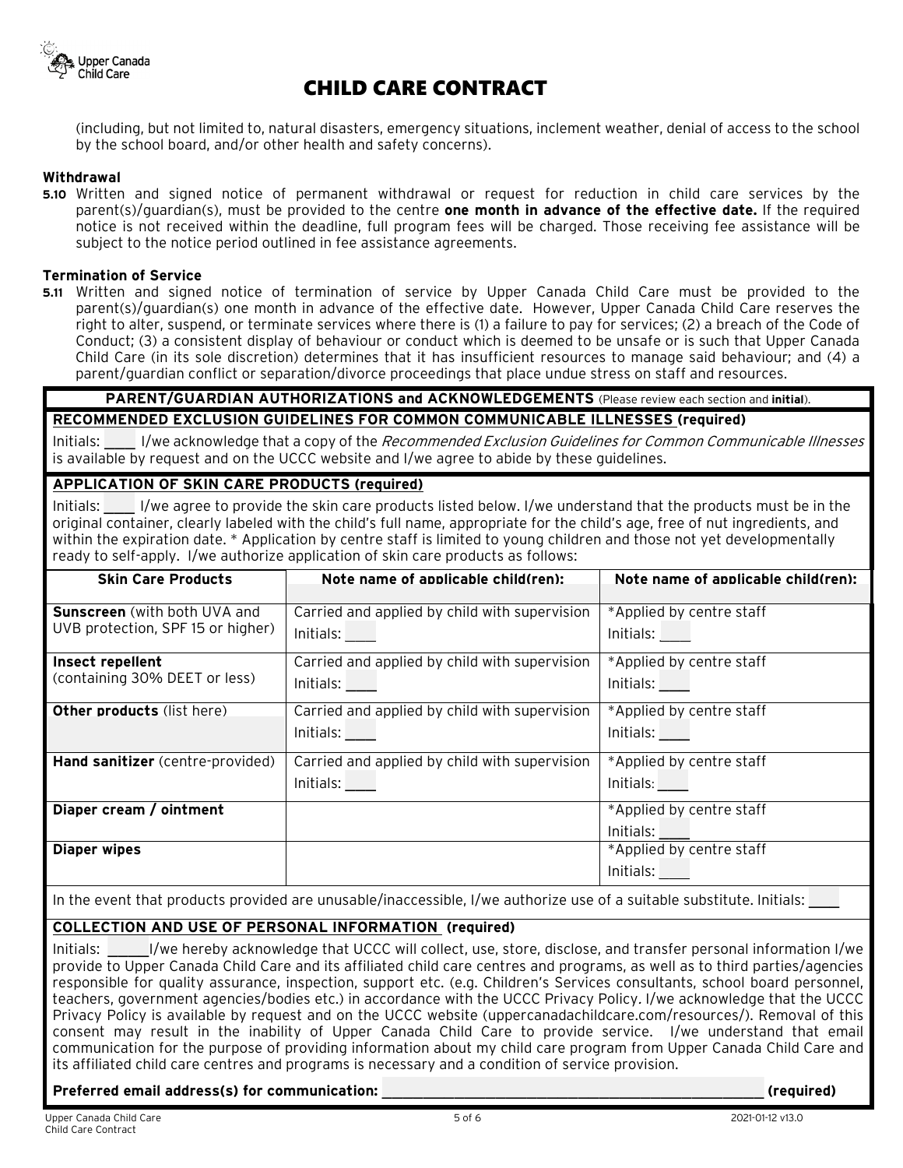

(including, but not limited to, natural disasters, emergency situations, inclement weather, denial of access to the school by the school board, and/or other health and safety concerns).

### **Withdrawal**

**5.10** Written and signed notice of permanent withdrawal or request for reduction in child care services by the parent(s)/guardian(s), must be provided to the centre **one month in advance of the effective date.** If the required notice is not received within the deadline, full program fees will be charged. Those receiving fee assistance will be subject to the notice period outlined in fee assistance agreements.

#### **Termination of Service**

**5.11** Written and signed notice of termination of service by Upper Canada Child Care must be provided to the parent(s)/guardian(s) one month in advance of the effective date. However, Upper Canada Child Care reserves the right to alter, suspend, or terminate services where there is (1) a failure to pay for services; (2) a breach of the Code of Conduct; (3) a consistent display of behaviour or conduct which is deemed to be unsafe or is such that Upper Canada Child Care (in its sole discretion) determines that it has insufficient resources to manage said behaviour; and (4) a parent/guardian conflict or separation/divorce proceedings that place undue stress on staff and resources.

## **PARENT/GUARDIAN AUTHORIZATIONS and ACKNOWLEDGEMENTS** (Please review each section and **initial**). **RECOMMENDED EXCLUSION GUIDELINES FOR COMMON COMMUNICABLE ILLNESSES (required)**

Initials: I/we acknowledge that a copy of the *Recommended Exclusion Guidelines for Common Communicable Illnesses* is available by request and on the UCCC website and I/we agree to abide by these guidelines.

## **APPLICATION OF SKIN CARE PRODUCTS (required)**

Initials: \_\_\_ I/we agree to provide the skin care products listed below. I/we understand that the products must be in the original container, clearly labeled with the child's full name, appropriate for the child's age, free of nut ingredients, and within the expiration date. \* Application by centre staff is limited to young children and those not yet developmentally ready to self-apply. I/we authorize application of skin care products as follows:

| <b>Skin Care Products</b>                                                | Note name of applicable child(ren):                             | Note name of applicable child(ren):   |
|--------------------------------------------------------------------------|-----------------------------------------------------------------|---------------------------------------|
| <b>Sunscreen</b> (with both UVA and<br>UVB protection, SPF 15 or higher) | Carried and applied by child with supervision<br>Initials:      | *Applied by centre staff<br>Initials: |
| Insect repellent<br>(containing 30% DEET or less)                        | Carried and applied by child with supervision<br>Initials: 1988 | *Applied by centre staff<br>Initials: |
| <b>Other products (list here)</b>                                        | Carried and applied by child with supervision<br>Initials:      | *Applied by centre staff<br>Initials: |
| Hand sanitizer (centre-provided)                                         | Carried and applied by child with supervision<br>Initials:      | *Applied by centre staff<br>Initials: |
| Diaper cream / ointment                                                  |                                                                 | *Applied by centre staff<br>Initials: |
| <b>Diaper wipes</b>                                                      |                                                                 | *Applied by centre staff<br>Initials: |

In the event that products provided are unusable/inaccessible, I/we authorize use of a suitable substitute. Initials:

## **COLLECTION AND USE OF PERSONAL INFORMATION (required)**

Initials: \_\_\_\_I/we hereby acknowledge that UCCC will collect, use, store, disclose, and transfer personal information I/we provide to Upper Canada Child Care and its affiliated child care centres and programs, as well as to third parties/agencies responsible for quality assurance, inspection, support etc. (e.g. Children's Services consultants, school board personnel, teachers, government agencies/bodies etc.) in accordance with the UCCC Privacy Policy. I/we acknowledge that the UCCC Privacy Policy is available by request and on the UCCC website (uppercanadachildcare.com/resources/). Removal of this consent may result in the inability of Upper Canada Child Care to provide service. I/we understand that email communication for the purpose of providing information about my child care program from Upper Canada Child Care and its affiliated child care centres and programs is necessary and a condition of service provision.

#### **Preferred email address(s) for communication:** \_\_\_\_\_\_\_\_\_\_\_\_\_\_\_\_\_\_\_\_\_\_\_\_\_\_\_\_\_\_\_\_\_\_\_\_\_ **(required)**